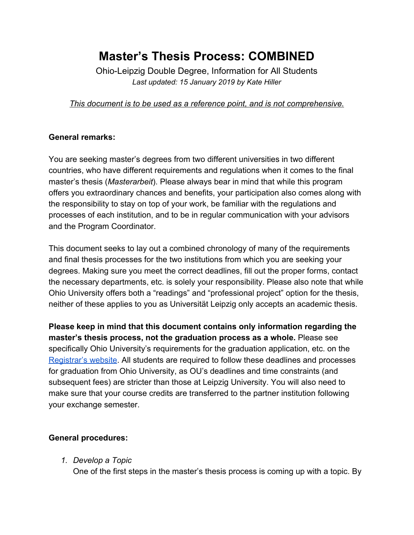# **Master's Thesis Process: COMBINED**

Ohio-Leipzig Double Degree, Information for All Students *Last updated: 15 January 2019 by Kate Hiller*

*This document is to be used as a reference point, and is not comprehensive.*

# **General remarks:**

You are seeking master's degrees from two different universities in two different countries, who have different requirements and regulations when it comes to the final master's thesis (*Masterarbeit*). Please always bear in mind that while this program offers you extraordinary chances and benefits, your participation also comes along with the responsibility to stay on top of your work, be familiar with the regulations and processes of each institution, and to be in regular communication with your advisors and the Program Coordinator.

This document seeks to lay out a combined chronology of many of the requirements and final thesis processes for the two institutions from which you are seeking your degrees. Making sure you meet the correct deadlines, fill out the proper forms, contact the necessary departments, etc. is solely your responsibility. Please also note that while Ohio University offers both a "readings" and "professional project" option for the thesis, neither of these applies to you as Universität Leipzig only accepts an academic thesis.

**Please keep in mind that this document contains only information regarding the master's thesis process, not the graduation process as a whole.** Please see specifically Ohio University's requirements for the graduation application, etc. on the [Registrar's website](https://www.ohio.edu/registrar/grd.cfm). All students are required to follow these deadlines and processes for graduation from Ohio University, as OU's deadlines and time constraints (and subsequent fees) are stricter than those at Leipzig University. You will also need to make sure that your course credits are transferred to the partner institution following your exchange semester.

# **General procedures:**

*1. Develop a Topic*

One of the first steps in the master's thesis process is coming up with a topic. By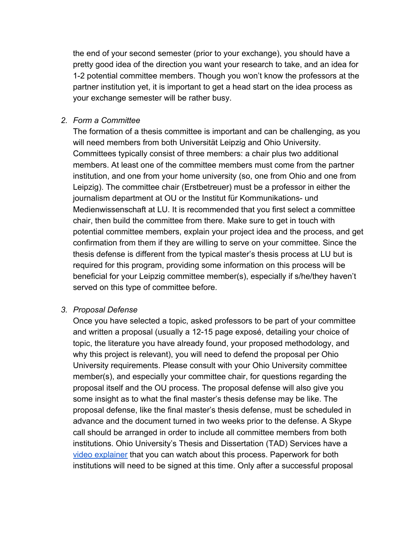the end of your second semester (prior to your exchange), you should have a pretty good idea of the direction you want your research to take, and an idea for 1-2 potential committee members. Though you won't know the professors at the partner institution yet, it is important to get a head start on the idea process as your exchange semester will be rather busy.

#### *2. Form a Committee*

The formation of a thesis committee is important and can be challenging, as you will need members from both Universität Leipzig and Ohio University. Committees typically consist of three members: a chair plus two additional members. At least one of the committee members must come from the partner institution, and one from your home university (so, one from Ohio and one from Leipzig). The committee chair (Erstbetreuer) must be a professor in either the journalism department at OU or the Institut für Kommunikations- und Medienwissenschaft at LU. It is recommended that you first select a committee chair, then build the committee from there. Make sure to get in touch with potential committee members, explain your project idea and the process, and get confirmation from them if they are willing to serve on your committee. Since the thesis defense is different from the typical master's thesis process at LU but is required for this program, providing some information on this process will be beneficial for your Leipzig committee member(s), especially if s/he/they haven't served on this type of committee before.

#### *3. Proposal Defense*

Once you have selected a topic, asked professors to be part of your committee and written a proposal (usually a 12-15 page exposé, detailing your choice of topic, the literature you have already found, your proposed methodology, and why this project is relevant), you will need to defend the proposal per Ohio University requirements. Please consult with your Ohio University committee member(s), and especially your committee chair, for questions regarding the proposal itself and the OU process. The proposal defense will also give you some insight as to what the final master's thesis defense may be like. The proposal defense, like the final master's thesis defense, must be scheduled in advance and the document turned in two weeks prior to the defense. A Skype call should be arranged in order to include all committee members from both institutions. Ohio University's Thesis and Dissertation (TAD) Services have a [video explainer](https://www.ohio.edu/graduate/etd) that you can watch about this process. Paperwork for both institutions will need to be signed at this time. Only after a successful proposal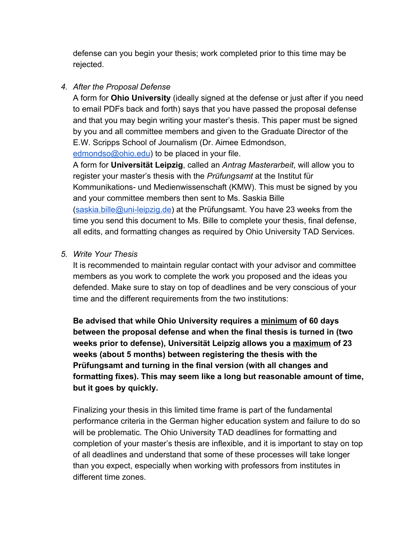defense can you begin your thesis; work completed prior to this time may be rejected.

# *4. After the Proposal Defense*

A form for **Ohio University** (ideally signed at the defense or just after if you need to email PDFs back and forth) says that you have passed the proposal defense and that you may begin writing your master's thesis. This paper must be signed by you and all committee members and given to the Graduate Director of the E.W. Scripps School of Journalism (Dr. Aimee Edmondson,

[edmondso@ohio.edu](mailto:edmondso@ohio.edu)) to be placed in your file.

A form for **Universität Leipzig**, called an *Antrag Masterarbeit*, will allow you to register your master's thesis with the *Prüfungsamt* at the Institut für Kommunikations- und Medienwissenschaft (KMW). This must be signed by you and your committee members then sent to Ms. Saskia Bille ([saskia.bille@uni-leipzig.de\)](mailto:saskia.bille@uni-leipzig.de) at the Prüfungsamt. You have 23 weeks from the time you send this document to Ms. Bille to complete your thesis, final defense, all edits, and formatting changes as required by Ohio University TAD Services.

## *5. Write Your Thesis*

It is recommended to maintain regular contact with your advisor and committee members as you work to complete the work you proposed and the ideas you defended. Make sure to stay on top of deadlines and be very conscious of your time and the different requirements from the two institutions:

**Be advised that while Ohio University requires a minimum of 60 days between the proposal defense and when the final thesis is turned in (two weeks prior to defense), Universität Leipzig allows you a maximum of 23 weeks (about 5 months) between registering the thesis with the Prüfungsamt and turning in the final version (with all changes and formatting fixes). This may seem like a long but reasonable amount of time, but it goes by quickly.**

Finalizing your thesis in this limited time frame is part of the fundamental performance criteria in the German higher education system and failure to do so will be problematic. The Ohio University TAD deadlines for formatting and completion of your master's thesis are inflexible, and it is important to stay on top of all deadlines and understand that some of these processes will take longer than you expect, especially when working with professors from institutes in different time zones.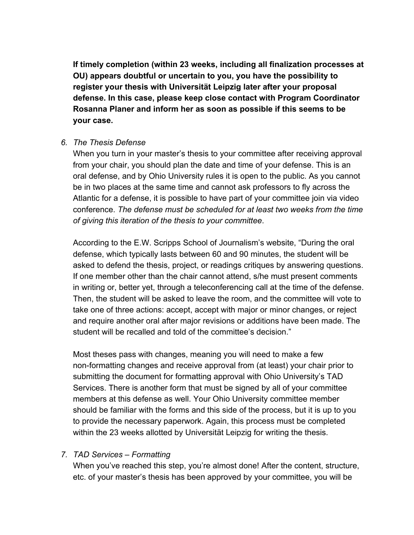**If timely completion (within 23 weeks, including all finalization processes at OU) appears doubtful or uncertain to you, you have the possibility to register your thesis with Universität Leipzig later after your proposal defense. In this case, please keep close contact with Program Coordinator Rosanna Planer and inform her as soon as possible if this seems to be your case.**

#### *6. The Thesis Defense*

When you turn in your master's thesis to your committee after receiving approval from your chair, you should plan the date and time of your defense. This is an oral defense, and by Ohio University rules it is open to the public. As you cannot be in two places at the same time and cannot ask professors to fly across the Atlantic for a defense, it is possible to have part of your committee join via video conference. *The defense must be scheduled for at least two weeks from the time of giving this iteration of the thesis to your committee*.

According to the E.W. Scripps School of Journalism's website, "During the oral defense, which typically lasts between 60 and 90 minutes, the student will be asked to defend the thesis, project, or readings critiques by answering questions. If one member other than the chair cannot attend, s/he must present comments in writing or, better yet, through a teleconferencing call at the time of the defense. Then, the student will be asked to leave the room, and the committee will vote to take one of three actions: accept, accept with major or minor changes, or reject and require another oral after major revisions or additions have been made. The student will be recalled and told of the committee's decision."

Most theses pass with changes, meaning you will need to make a few non-formatting changes and receive approval from (at least) your chair prior to submitting the document for formatting approval with Ohio University's TAD Services. There is another form that must be signed by all of your committee members at this defense as well. Your Ohio University committee member should be familiar with the forms and this side of the process, but it is up to you to provide the necessary paperwork. Again, this process must be completed within the 23 weeks allotted by Universität Leipzig for writing the thesis.

#### *7. TAD Services – Formatting*

When you've reached this step, you're almost done! After the content, structure, etc. of your master's thesis has been approved by your committee, you will be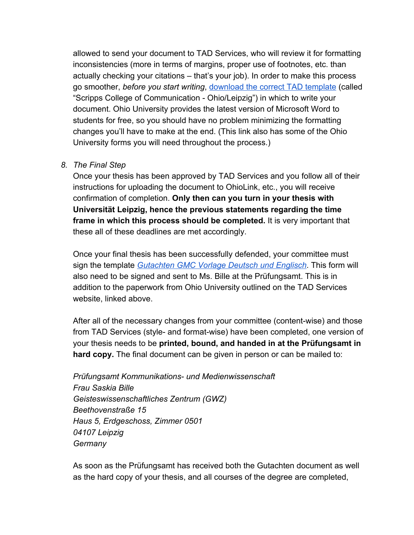allowed to send your document to TAD Services, who will review it for formatting inconsistencies (more in terms of margins, proper use of footnotes, etc. than actually checking your citations – that's your job). In order to make this process go smoother, *before you start writing*, [download the correct TAD template](https://www.ohio.edu/graduate/etd/tad-forms-and-templates) (called "Scripps College of Communication - Ohio/Leipzig") in which to write your document. Ohio University provides the latest version of Microsoft Word to students for free, so you should have no problem minimizing the formatting changes you'll have to make at the end. (This link also has some of the Ohio University forms you will need throughout the process.)

#### *8. The Final Step*

Once your thesis has been approved by TAD Services and you follow all of their instructions for uploading the document to OhioLink, etc., you will receive confirmation of completion. **Only then can you turn in your thesis with Universität Leipzig, hence the previous statements regarding the time frame in which this process should be completed.** It is very important that these all of these deadlines are met accordingly.

Once your final thesis has been successfully defended, your committee must sign the template *[Gutachten GMC Vorlage Deutsch und Englisch](https://drive.google.com/file/d/1IMpIeMM07DjBpsZxM0kh6UgdoGqWbgMb/view?usp=sharing)*. This form will also need to be signed and sent to Ms. Bille at the Prüfungsamt. This is in addition to the paperwork from Ohio University outlined on the TAD Services website, linked above.

After all of the necessary changes from your committee (content-wise) and those from TAD Services (style- and format-wise) have been completed, one version of your thesis needs to be **printed, bound, and handed in at the Prüfungsamt in hard copy.** The final document can be given in person or can be mailed to:

*Prüfungsamt Kommunikations- und Medienwissenschaft Frau Saskia Bille Geisteswissenschaftliches Zentrum (GWZ) Beethovenstraße 15 Haus 5, Erdgeschoss, Zimmer 0501 04107 Leipzig Germany*

As soon as the Prüfungsamt has received both the Gutachten document as well as the hard copy of your thesis, and all courses of the degree are completed,